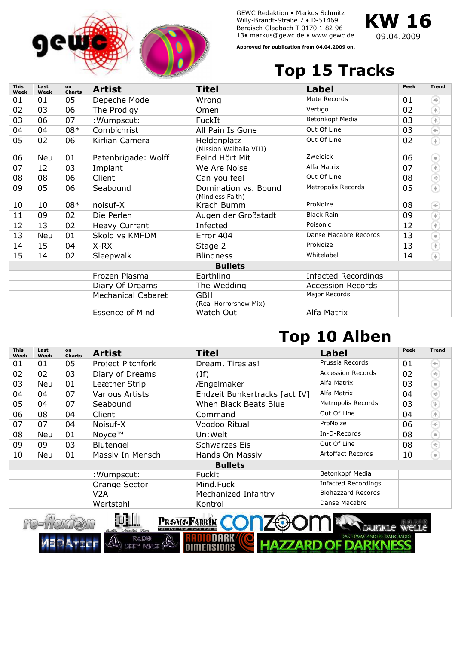

GEWC Redaktion • Markus Schmitz Willy-Brandt-Straße 7 • D-51469 Bergisch Gladbach T 0170 1 82 96 13• markus@gewc.de • www.gewc.de



**Approved for publication from 04.04.2009 on.**

## **Top 15 Tracks**

| <b>This</b><br>Week | Last<br>Week | on<br><b>Charts</b> | <b>Artist</b>             | Titel                                         | <b>Label</b>               | Peek | <b>Trend</b>                                                                                                                                                                                                                                                                                                                                        |  |  |  |
|---------------------|--------------|---------------------|---------------------------|-----------------------------------------------|----------------------------|------|-----------------------------------------------------------------------------------------------------------------------------------------------------------------------------------------------------------------------------------------------------------------------------------------------------------------------------------------------------|--|--|--|
| 01                  | 01           | 05                  | Depeche Mode              | Wrong                                         | Mute Records               | 01   | €                                                                                                                                                                                                                                                                                                                                                   |  |  |  |
| 02                  | 03           | 06                  | The Prodigy               | Omen                                          | Vertigo                    | 02   | $\spadesuit$                                                                                                                                                                                                                                                                                                                                        |  |  |  |
| 03                  | 06           | 07                  | : Wumpscut:               | FuckIt                                        | Betonkopf Media            | 03   | $\overline{\mathbb{A}}$                                                                                                                                                                                                                                                                                                                             |  |  |  |
| 04                  | 04           | $08*$               | Combichrist               | All Pain Is Gone                              | Out Of Line                | 03   | ⊛                                                                                                                                                                                                                                                                                                                                                   |  |  |  |
| 05                  | 02           | 06                  | Kirlian Camera            | <b>Heldenplatz</b><br>(Mission Walhalla VIII) | Out Of Line                | 02   | $\begin{picture}(20,20) \put(0,0){\line(1,0){10}} \put(15,0){\line(1,0){10}} \put(15,0){\line(1,0){10}} \put(15,0){\line(1,0){10}} \put(15,0){\line(1,0){10}} \put(15,0){\line(1,0){10}} \put(15,0){\line(1,0){10}} \put(15,0){\line(1,0){10}} \put(15,0){\line(1,0){10}} \put(15,0){\line(1,0){10}} \put(15,0){\line(1,0){10}} \put(15,0){\line(1$ |  |  |  |
| 06                  | Neu          | 01                  | Patenbrigade: Wolff       | Feind Hört Mit                                | Zweieick                   | 06   | €                                                                                                                                                                                                                                                                                                                                                   |  |  |  |
| 07                  | 12           | 03                  | Implant                   | We Are Noise                                  | Alfa Matrix                | 07   | $\mathbb{A}$                                                                                                                                                                                                                                                                                                                                        |  |  |  |
| 08                  | 08           | 06                  | Client                    | Can you feel                                  | Out Of Line                | 08   | $\odot$                                                                                                                                                                                                                                                                                                                                             |  |  |  |
| 09                  | 05           | 06                  | Seabound                  | Domination vs. Bound<br>(Mindless Faith)      | Metropolis Records         | 05   | $\begin{picture}(20,20) \put(0,0){\line(1,0){10}} \put(15,0){\line(1,0){10}} \put(15,0){\line(1,0){10}} \put(15,0){\line(1,0){10}} \put(15,0){\line(1,0){10}} \put(15,0){\line(1,0){10}} \put(15,0){\line(1,0){10}} \put(15,0){\line(1,0){10}} \put(15,0){\line(1,0){10}} \put(15,0){\line(1,0){10}} \put(15,0){\line(1,0){10}} \put(15,0){\line(1$ |  |  |  |
| 10                  | 10           | 08*                 | noisuf-X                  | Krach Bumm                                    | ProNoize                   | 08   | $\in$                                                                                                                                                                                                                                                                                                                                               |  |  |  |
| 11                  | 09           | 02                  | Die Perlen                | Augen der Großstadt                           | <b>Black Rain</b>          | 09   | $\overline{\Psi}$                                                                                                                                                                                                                                                                                                                                   |  |  |  |
| 12                  | 13           | 02                  | <b>Heavy Current</b>      | Infected                                      | Poisonic                   | 12   | $\langle \mathbb{A} \rangle$                                                                                                                                                                                                                                                                                                                        |  |  |  |
| 13                  | <b>Neu</b>   | 01                  | Skold vs KMFDM            | Error 404                                     | Danse Macabre Records      | 13   | $\oplus$                                                                                                                                                                                                                                                                                                                                            |  |  |  |
| 14                  | 15           | 04                  | X-RX                      | Stage 2                                       | ProNoize                   | 13   | $\langle \mathbb{A} \rangle$                                                                                                                                                                                                                                                                                                                        |  |  |  |
| 15                  | 14           | 02                  | Sleepwalk                 | <b>Blindness</b>                              | Whitelabel                 | 14   | $\overline{\Psi}$                                                                                                                                                                                                                                                                                                                                   |  |  |  |
| <b>Bullets</b>      |              |                     |                           |                                               |                            |      |                                                                                                                                                                                                                                                                                                                                                     |  |  |  |
|                     |              |                     | Frozen Plasma             | Earthling                                     | <b>Infacted Recordings</b> |      |                                                                                                                                                                                                                                                                                                                                                     |  |  |  |
|                     |              |                     | Diary Of Dreams           | The Wedding                                   | <b>Accession Records</b>   |      |                                                                                                                                                                                                                                                                                                                                                     |  |  |  |
|                     |              |                     | <b>Mechanical Cabaret</b> | <b>GBH</b><br>(Real Horrorshow Mix)           | Major Records              |      |                                                                                                                                                                                                                                                                                                                                                     |  |  |  |
|                     |              |                     | Essence of Mind           | Watch Out                                     | Alfa Matrix                |      |                                                                                                                                                                                                                                                                                                                                                     |  |  |  |

## **Top 10 Alben**

| <b>This</b><br>Week | Last<br>Week | on<br><b>Charts</b> | <b>Artist</b>     | <b>Titel</b>                  | <b>Label</b>               | Peek | <b>Trend</b>                           |  |  |  |
|---------------------|--------------|---------------------|-------------------|-------------------------------|----------------------------|------|----------------------------------------|--|--|--|
| 01                  | 01           | 05                  | Project Pitchfork | Dream, Tiresias!              | Prussia Records            | 01   | $(\Leftarrow)$                         |  |  |  |
| 02                  | 02           | 03                  | Diary of Dreams   | (If)                          | Accession Records          | 02   | €                                      |  |  |  |
| 03                  | Neu          | 01                  | Leæther Strip     | Ængelmaker                    | Alfa Matrix                | 03   | $\begin{array}{c} \bullet \end{array}$ |  |  |  |
| 04                  | 04           | 07                  | Various Artists   | Endzeit Bunkertracks [act IV] | Alfa Matrix                | 04   | $(\widehat{\mathbb{R}})$               |  |  |  |
| 05                  | 04           | 07                  | Seabound          | When Black Beats Blue         | Metropolis Records         | 03   | $\left( \Psi \right)$                  |  |  |  |
| 06                  | 08           | 04                  | Client            | Command                       | Out Of Line                | 04   | $\left( \mathbb{A}\right)$             |  |  |  |
| 07                  | 07           | 04                  | Noisuf-X          | Voodoo Ritual                 | ProNoize                   | 06   | $\Leftarrow$                           |  |  |  |
| 08                  | Neu          | 01                  | Novce™            | Un: Welt                      | In-D-Records               | 08   | $\begin{array}{c} \bullet \end{array}$ |  |  |  |
| 09                  | 09           | 03                  | <b>Blutengel</b>  | Schwarzes Eis                 | Out Of Line                | 08   | $\widehat{\div}$                       |  |  |  |
| 10                  | Neu          | 01                  | Massiv In Mensch  | Hands On Massiv               | <b>Artoffact Records</b>   | 10   | (ф                                     |  |  |  |
| <b>Bullets</b>      |              |                     |                   |                               |                            |      |                                        |  |  |  |
|                     |              |                     | : Wumpscut:       | <b>Fuckit</b>                 | Betonkopf Media            |      |                                        |  |  |  |
|                     |              |                     | Orange Sector     | Mind.Fuck                     | <b>Infacted Recordings</b> |      |                                        |  |  |  |
|                     |              |                     | V2A               | Mechanized Infantry           | <b>Biohazzard Records</b>  |      |                                        |  |  |  |
|                     |              |                     | Wertstahl         | Kontrol                       | Danse Macabre              |      |                                        |  |  |  |